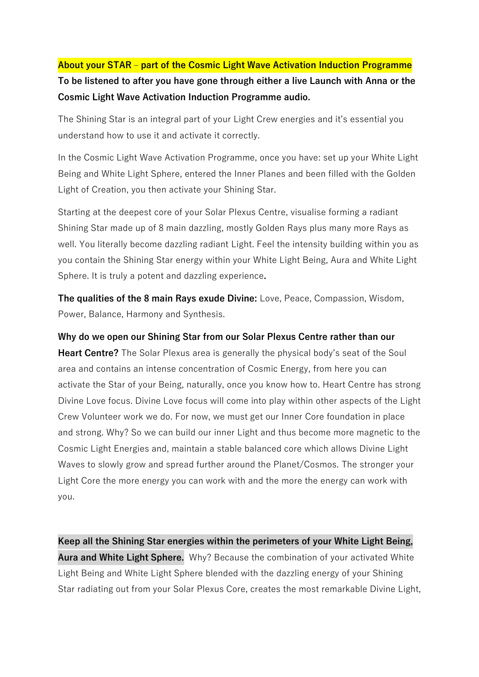# **About your STAR – part of the Cosmic Light Wave Activation Induction Programme To be listened to after you have gone through either a live Launch with Anna or the Cosmic Light Wave Activation Induction Programme audio.**

The Shining Star is an integral part of your Light Crew energies and it's essential you understand how to use it and activate it correctly.

In the Cosmic Light Wave Activation Programme, once you have: set up your White Light Being and White Light Sphere, entered the Inner Planes and been filled with the Golden Light of Creation, you then activate your Shining Star.

Starting at the deepest core of your Solar Plexus Centre, visualise forming a radiant Shining Star made up of 8 main dazzling, mostly Golden Rays plus many more Rays as well. You literally become dazzling radiant Light. Feel the intensity building within you as you contain the Shining Star energy within your White Light Being, Aura and White Light Sphere. It is truly a potent and dazzling experience**.**

**The qualities of the 8 main Rays exude Divine:** Love, Peace, Compassion, Wisdom, Power, Balance, Harmony and Synthesis.

#### **Why do we open our Shining Star from our Solar Plexus Centre rather than our**

**Heart Centre?** The Solar Plexus area is generally the physical body's seat of the Soul area and contains an intense concentration of Cosmic Energy, from here you can activate the Star of your Being, naturally, once you know how to. Heart Centre has strong Divine Love focus. Divine Love focus will come into play within other aspects of the Light Crew Volunteer work we do. For now, we must get our Inner Core foundation in place and strong. Why? So we can build our inner Light and thus become more magnetic to the Cosmic Light Energies and, maintain a stable balanced core which allows Divine Light Waves to slowly grow and spread further around the Planet/Cosmos. The stronger your Light Core the more energy you can work with and the more the energy can work with you.

**Keep all the Shining Star energies within the perimeters of your White Light Being, Aura and White Light Sphere.** Why? Because the combination of your activated White Light Being and White Light Sphere blended with the dazzling energy of your Shining Star radiating out from your Solar Plexus Core, creates the most remarkable Divine Light,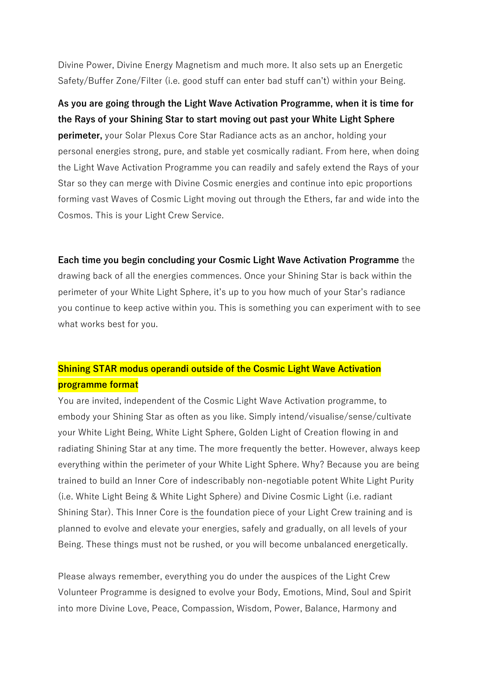Divine Power, Divine Energy Magnetism and much more. It also sets up an Energetic Safety/Buffer Zone/Filter (i.e. good stuff can enter bad stuff can't) within your Being.

# **As you are going through the Light Wave Activation Programme, when it is time for the Rays of your Shining Star to start moving out past your White Light Sphere**

**perimeter,** your Solar Plexus Core Star Radiance acts as an anchor, holding your personal energies strong, pure, and stable yet cosmically radiant. From here, when doing the Light Wave Activation Programme you can readily and safely extend the Rays of your Star so they can merge with Divine Cosmic energies and continue into epic proportions forming vast Waves of Cosmic Light moving out through the Ethers, far and wide into the Cosmos. This is your Light Crew Service.

#### **Each time you begin concluding your Cosmic Light Wave Activation Programme** the

drawing back of all the energies commences. Once your Shining Star is back within the perimeter of your White Light Sphere, it's up to you how much of your Star's radiance you continue to keep active within you. This is something you can experiment with to see what works best for you.

### **Shining STAR modus operandi outside of the Cosmic Light Wave Activation programme format**

You are invited, independent of the Cosmic Light Wave Activation programme, to embody your Shining Star as often as you like. Simply intend/visualise/sense/cultivate your White Light Being, White Light Sphere, Golden Light of Creation flowing in and radiating Shining Star at any time. The more frequently the better. However, always keep everything within the perimeter of your White Light Sphere. Why? Because you are being trained to build an Inner Core of indescribably non-negotiable potent White Light Purity (i.e. White Light Being & White Light Sphere) and Divine Cosmic Light (i.e. radiant Shining Star). This Inner Core is the foundation piece of your Light Crew training and is planned to evolve and elevate your energies, safely and gradually, on all levels of your Being. These things must not be rushed, or you will become unbalanced energetically.

Please always remember, everything you do under the auspices of the Light Crew Volunteer Programme is designed to evolve your Body, Emotions, Mind, Soul and Spirit into more Divine Love, Peace, Compassion, Wisdom, Power, Balance, Harmony and